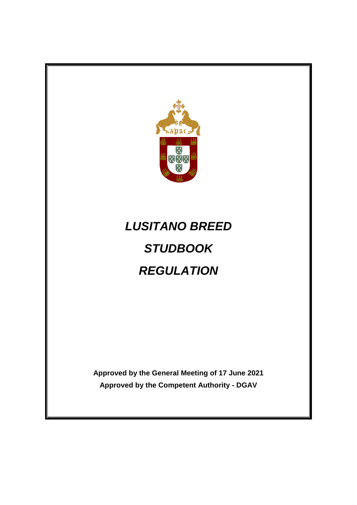

# *LUSITANO BREED STUDBOOK REGULATION*

**Approved by the General Meeting of 17 June 2021 Approved by the Competent Authority - DGAV**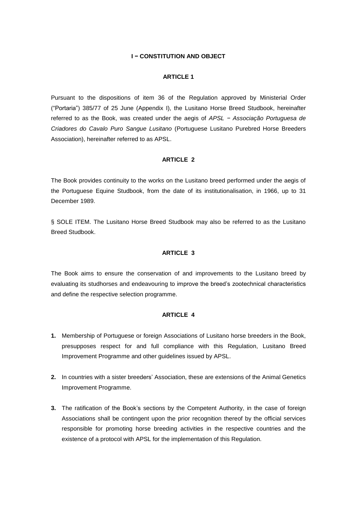# **I − CONSTITUTION AND OBJECT**

#### **ARTICLE 1**

Pursuant to the dispositions of item 36 of the Regulation approved by Ministerial Order ("Portaria") 385/77 of 25 June (Appendix I), the Lusitano Horse Breed Studbook, hereinafter referred to as the Book, was created under the aegis of *APSL − Associação Portuguesa de Criadores do Cavalo Puro Sangue Lusitano* (Portuguese Lusitano Purebred Horse Breeders Association), hereinafter referred to as APSL.

#### **ARTICLE 2**

The Book provides continuity to the works on the Lusitano breed performed under the aegis of the Portuguese Equine Studbook, from the date of its institutionalisation, in 1966, up to 31 December 1989.

§ SOLE ITEM. The Lusitano Horse Breed Studbook may also be referred to as the Lusitano Breed Studbook.

#### **ARTICLE 3**

The Book aims to ensure the conservation of and improvements to the Lusitano breed by evaluating its studhorses and endeavouring to improve the breed's zootechnical characteristics and define the respective selection programme.

#### **ARTICLE 4**

- **1.** Membership of Portuguese or foreign Associations of Lusitano horse breeders in the Book, presupposes respect for and full compliance with this Regulation, Lusitano Breed Improvement Programme and other guidelines issued by APSL.
- **2.** In countries with a sister breeders' Association, these are extensions of the Animal Genetics Improvement Programme.
- **3.** The ratification of the Book's sections by the Competent Authority, in the case of foreign Associations shall be contingent upon the prior recognition thereof by the official services responsible for promoting horse breeding activities in the respective countries and the existence of a protocol with APSL for the implementation of this Regulation.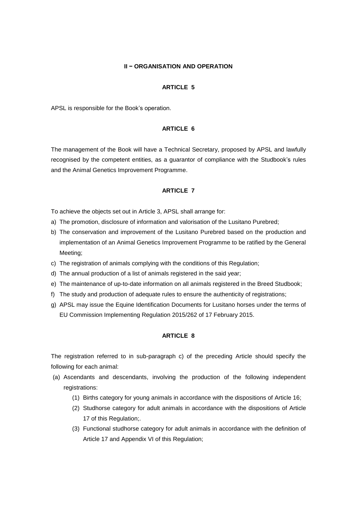#### **II − ORGANISATION AND OPERATION**

#### **ARTICLE 5**

APSL is responsible for the Book's operation.

# **ARTICLE 6**

The management of the Book will have a Technical Secretary, proposed by APSL and lawfully recognised by the competent entities, as a guarantor of compliance with the Studbook's rules and the Animal Genetics Improvement Programme.

#### **ARTICLE 7**

To achieve the objects set out in Article 3, APSL shall arrange for:

- a) The promotion, disclosure of information and valorisation of the Lusitano Purebred;
- b) The conservation and improvement of the Lusitano Purebred based on the production and implementation of an Animal Genetics Improvement Programme to be ratified by the General Meeting;
- c) The registration of animals complying with the conditions of this Regulation;
- d) The annual production of a list of animals registered in the said year;
- e) The maintenance of up-to-date information on all animals registered in the Breed Studbook;
- f) The study and production of adequate rules to ensure the authenticity of registrations;
- g) APSL may issue the Equine Identification Documents for Lusitano horses under the terms of EU Commission Implementing Regulation 2015/262 of 17 February 2015.

#### **ARTICLE 8**

The registration referred to in sub-paragraph c) of the preceding Article should specify the following for each animal:

- (a) Ascendants and descendants, involving the production of the following independent registrations:
	- (1) Births category for young animals in accordance with the dispositions of Article 16;
	- (2) Studhorse category for adult animals in accordance with the dispositions of Article 17 of this Regulation;.
	- (3) Functional studhorse category for adult animals in accordance with the definition of Article 17 and Appendix VI of this Regulation;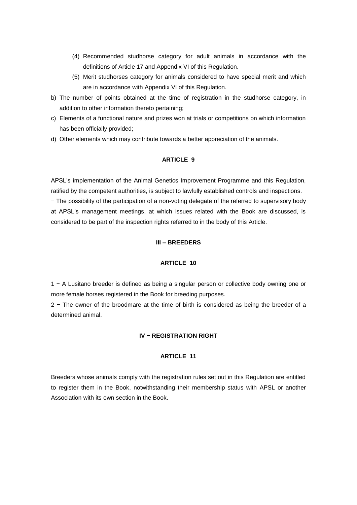- (4) Recommended studhorse category for adult animals in accordance with the definitions of Article 17 and Appendix VI of this Regulation.
- (5) Merit studhorses category for animals considered to have special merit and which are in accordance with Appendix VI of this Regulation.
- b) The number of points obtained at the time of registration in the studhorse category, in addition to other information thereto pertaining;
- c) Elements of a functional nature and prizes won at trials or competitions on which information has been officially provided;
- d) Other elements which may contribute towards a better appreciation of the animals.

#### **ARTICLE 9**

APSL's implementation of the Animal Genetics Improvement Programme and this Regulation, ratified by the competent authorities, is subject to lawfully established controls and inspections. − The possibility of the participation of a non-voting delegate of the referred to supervisory body at APSL's management meetings, at which issues related with the Book are discussed, is considered to be part of the inspection rights referred to in the body of this Article.

#### **III – BREEDERS**

#### **ARTICLE 10**

1 − A Lusitano breeder is defined as being a singular person or collective body owning one or more female horses registered in the Book for breeding purposes.

2 − The owner of the broodmare at the time of birth is considered as being the breeder of a determined animal.

## **IV − REGISTRATION RIGHT**

# **ARTICLE 11**

Breeders whose animals comply with the registration rules set out in this Regulation are entitled to register them in the Book, notwithstanding their membership status with APSL or another Association with its own section in the Book.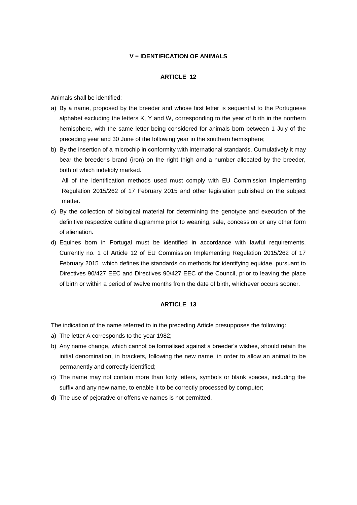# **V − IDENTIFICATION OF ANIMALS**

#### **ARTICLE 12**

Animals shall be identified:

- a) By a name, proposed by the breeder and whose first letter is sequential to the Portuguese alphabet excluding the letters K, Y and W, corresponding to the year of birth in the northern hemisphere, with the same letter being considered for animals born between 1 July of the preceding year and 30 June of the following year in the southern hemisphere;
- b) By the insertion of a microchip in conformity with international standards. Cumulatively it may bear the breeder's brand (iron) on the right thigh and a number allocated by the breeder, both of which indelibly marked.

All of the identification methods used must comply with EU Commission Implementing Regulation 2015/262 of 17 February 2015 and other legislation published on the subject matter.

- c) By the collection of biological material for determining the genotype and execution of the definitive respective outline diagramme prior to weaning, sale, concession or any other form of alienation.
- d) Equines born in Portugal must be identified in accordance with lawful requirements. Currently no. 1 of Article 12 of EU Commission Implementing Regulation 2015/262 of 17 February 2015 which defines the standards on methods for identifying equidae, pursuant to Directives 90/427 EEC and Directives 90/427 EEC of the Council, prior to leaving the place of birth or within a period of twelve months from the date of birth, whichever occurs sooner.

### **ARTICLE 13**

The indication of the name referred to in the preceding Article presupposes the following:

- a) The letter A corresponds to the year 1982;
- b) Any name change, which cannot be formalised against a breeder's wishes, should retain the initial denomination, in brackets, following the new name, in order to allow an animal to be permanently and correctly identified;
- c) The name may not contain more than forty letters, symbols or blank spaces, including the suffix and any new name, to enable it to be correctly processed by computer;
- d) The use of pejorative or offensive names is not permitted.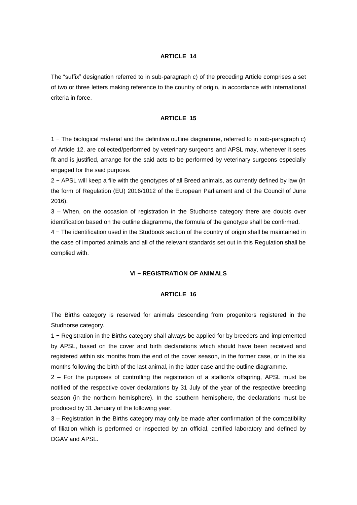#### **ARTICLE 14**

The "suffix" designation referred to in sub-paragraph c) of the preceding Article comprises a set of two or three letters making reference to the country of origin, in accordance with international criteria in force.

#### **ARTICLE 15**

1 − The biological material and the definitive outline diagramme, referred to in sub-paragraph c) of Article 12, are collected/performed by veterinary surgeons and APSL may, whenever it sees fit and is justified, arrange for the said acts to be performed by veterinary surgeons especially engaged for the said purpose.

2 − APSL will keep a file with the genotypes of all Breed animals, as currently defined by law (in the form of Regulation (EU) 2016/1012 of the European Parliament and of the Council of June 2016).

3 – When, on the occasion of registration in the Studhorse category there are doubts over identification based on the outline diagramme, the formula of the genotype shall be confirmed.

4 − The identification used in the Studbook section of the country of origin shall be maintained in the case of imported animals and all of the relevant standards set out in this Regulation shall be complied with.

#### **VI − REGISTRATION OF ANIMALS**

#### **ARTICLE 16**

The Births category is reserved for animals descending from progenitors registered in the Studhorse category.

1 − Registration in the Births category shall always be applied for by breeders and implemented by APSL, based on the cover and birth declarations which should have been received and registered within six months from the end of the cover season, in the former case, or in the six months following the birth of the last animal, in the latter case and the outline diagramme.

2 – For the purposes of controlling the registration of a stallion's offspring, APSL must be notified of the respective cover declarations by 31 July of the year of the respective breeding season (in the northern hemisphere). In the southern hemisphere, the declarations must be produced by 31 January of the following year.

3 – Registration in the Births category may only be made after confirmation of the compatibility of filiation which is performed or inspected by an official, certified laboratory and defined by DGAV and APSL.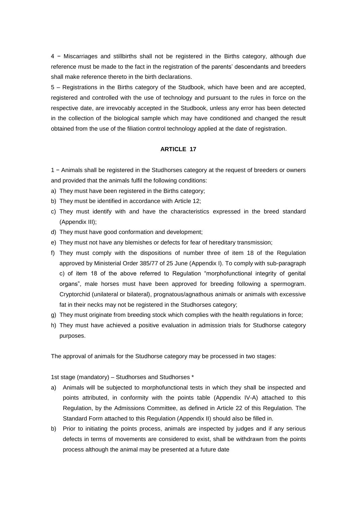4 − Miscarriages and stillbirths shall not be registered in the Births category, although due reference must be made to the fact in the registration of the parents' descendants and breeders shall make reference thereto in the birth declarations.

5 – Registrations in the Births category of the Studbook, which have been and are accepted, registered and controlled with the use of technology and pursuant to the rules in force on the respective date, are irrevocably accepted in the Studbook, unless any error has been detected in the collection of the biological sample which may have conditioned and changed the result obtained from the use of the filiation control technology applied at the date of registration.

#### **ARTICLE 17**

1 − Animals shall be registered in the Studhorses category at the request of breeders or owners and provided that the animals fulfil the following conditions:

- a) They must have been registered in the Births category;
- b) They must be identified in accordance with Article 12;
- c) They must identify with and have the characteristics expressed in the breed standard (Appendix III);
- d) They must have good conformation and development;
- e) They must not have any blemishes or defects for fear of hereditary transmission;
- f) They must comply with the dispositions of number three of item 18 of the Regulation approved by Ministerial Order 385/77 of 25 June (Appendix I). To comply with sub-paragraph c) of item 18 of the above referred to Regulation "morphofunctional integrity of genital organs", male horses must have been approved for breeding following a spermogram. Cryptorchid (unilateral or bilateral), prognatous/agnathous animals or animals with excessive fat in their necks may not be registered in the Studhorses category;
- g) They must originate from breeding stock which complies with the health regulations in force;
- h) They must have achieved a positive evaluation in admission trials for Studhorse category purposes.

The approval of animals for the Studhorse category may be processed in two stages:

1st stage (mandatory) – Studhorses and Studhorses \*

- a) Animals will be subjected to morphofunctional tests in which they shall be inspected and points attributed, in conformity with the points table (Appendix IV-A) attached to this Regulation, by the Admissions Committee, as defined in Article 22 of this Regulation. The Standard Form attached to this Regulation (Appendix II) should also be filled in.
- b) Prior to initiating the points process, animals are inspected by judges and if any serious defects in terms of movements are considered to exist, shall be withdrawn from the points process although the animal may be presented at a future date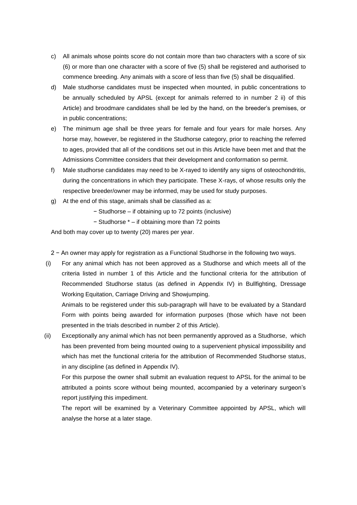- c) All animals whose points score do not contain more than two characters with a score of six (6) or more than one character with a score of five (5) shall be registered and authorised to commence breeding. Any animals with a score of less than five (5) shall be disqualified.
- d) Male studhorse candidates must be inspected when mounted, in public concentrations to be annually scheduled by APSL (except for animals referred to in number 2 ii) of this Article) and broodmare candidates shall be led by the hand, on the breeder's premises, or in public concentrations;
- e) The minimum age shall be three years for female and four years for male horses. Any horse may, however, be registered in the Studhorse category, prior to reaching the referred to ages, provided that all of the conditions set out in this Article have been met and that the Admissions Committee considers that their development and conformation so permit.
- f) Male studhorse candidates may need to be X-rayed to identify any signs of osteochondritis, during the concentrations in which they participate. These X-rays, of whose results only the respective breeder/owner may be informed, may be used for study purposes.
- g) At the end of this stage, animals shall be classified as a:
	- − Studhorse if obtaining up to 72 points (inclusive)
	- − Studhorse \* if obtaining more than 72 points

And both may cover up to twenty (20) mares per year.

2 − An owner may apply for registration as a Functional Studhorse in the following two ways.

(i) For any animal which has not been approved as a Studhorse and which meets all of the criteria listed in number 1 of this Article and the functional criteria for the attribution of Recommended Studhorse status (as defined in Appendix IV) in Bullfighting, Dressage Working Equitation, Carriage Driving and Showjumping.

Animals to be registered under this sub-paragraph will have to be evaluated by a Standard Form with points being awarded for information purposes (those which have not been presented in the trials described in number 2 of this Article).

(ii) Exceptionally any animal which has not been permanently approved as a Studhorse, which has been prevented from being mounted owing to a supervenient physical impossibility and which has met the functional criteria for the attribution of Recommended Studhorse status, in any discipline (as defined in Appendix IV).

For this purpose the owner shall submit an evaluation request to APSL for the animal to be attributed a points score without being mounted, accompanied by a veterinary surgeon's report justifying this impediment.

The report will be examined by a Veterinary Committee appointed by APSL, which will analyse the horse at a later stage.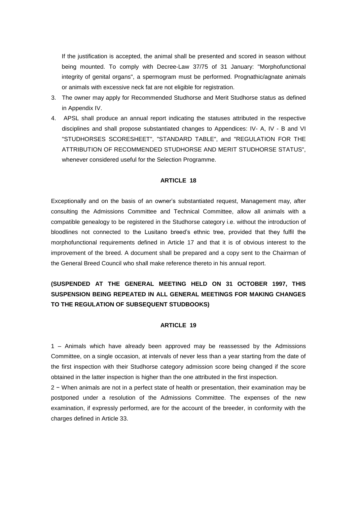If the justification is accepted, the animal shall be presented and scored in season without being mounted. To comply with Decree-Law 37/75 of 31 January: "Morphofunctional integrity of genital organs", a spermogram must be performed. Prognathic/agnate animals or animals with excessive neck fat are not eligible for registration.

- 3. The owner may apply for Recommended Studhorse and Merit Studhorse status as defined in Appendix IV.
- 4. APSL shall produce an annual report indicating the statuses attributed in the respective disciplines and shall propose substantiated changes to Appendices: IV- A, IV - B and VI "STUDHORSES SCORESHEET", "STANDARD TABLE", and "REGULATION FOR THE ATTRIBUTION OF RECOMMENDED STUDHORSE AND MERIT STUDHORSE STATUS", whenever considered useful for the Selection Programme.

## **ARTICLE 18**

Exceptionally and on the basis of an owner's substantiated request, Management may, after consulting the Admissions Committee and Technical Committee, allow all animals with a compatible genealogy to be registered in the Studhorse category i.e. without the introduction of bloodlines not connected to the Lusitano breed's ethnic tree, provided that they fulfil the morphofunctional requirements defined in Article 17 and that it is of obvious interest to the improvement of the breed. A document shall be prepared and a copy sent to the Chairman of the General Breed Council who shall make reference thereto in his annual report.

# **(SUSPENDED AT THE GENERAL MEETING HELD ON 31 OCTOBER 1997, THIS SUSPENSION BEING REPEATED IN ALL GENERAL MEETINGS FOR MAKING CHANGES TO THE REGULATION OF SUBSEQUENT STUDBOOKS)**

## **ARTICLE 19**

1 – Animals which have already been approved may be reassessed by the Admissions Committee, on a single occasion, at intervals of never less than a year starting from the date of the first inspection with their Studhorse category admission score being changed if the score obtained in the latter inspection is higher than the one attributed in the first inspection.

2 − When animals are not in a perfect state of health or presentation, their examination may be postponed under a resolution of the Admissions Committee. The expenses of the new examination, if expressly performed, are for the account of the breeder, in conformity with the charges defined in Article 33.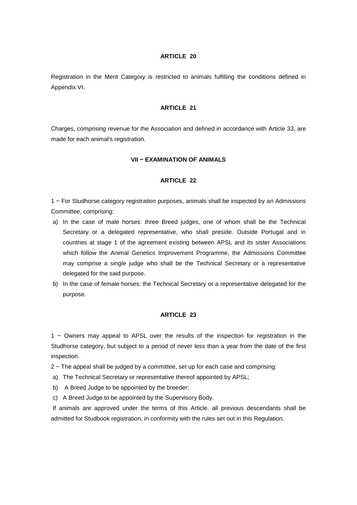#### **ARTICLE 20**

Registration in the Merit Category is restricted to animals fulfilling the conditions defined in Appendix VI.

#### **ARTICLE 21**

Charges, comprising revenue for the Association and defined in accordance with Article 33, are made for each animal's registration.

#### **VII − EXAMINATION OF ANIMALS**

#### **ARTICLE 22**

1 − For Studhorse category registration purposes, animals shall be inspected by an Admissions Committee, comprising:

- a) In the case of male horses: three Breed judges, one of whom shall be the Technical Secretary or a delegated representative, who shall preside. Outside Portugal and in countries at stage 1 of the agreement existing between APSL and its sister Associations which follow the Animal Genetics Improvement Programme, the Admissions Committee may comprise a single judge who shall be the Technical Secretary or a representative delegated for the said purpose.
- b) In the case of female horses: the Technical Secretary or a representative delegated for the purpose.

#### **ARTICLE 23**

1 − Owners may appeal to APSL over the results of the inspection for registration in the Studhorse category, but subject to a period of never less than a year from the date of the first inspection.

2 − The appeal shall be judged by a committee, set up for each case and comprising:

- a) The Technical Secretary or representative thereof appointed by APSL;
- b) A Breed Judge to be appointed by the breeder;
- c) A Breed Judge to be appointed by the Supervisory Body.

If animals are approved under the terms of this Article, all previous descendants shall be admitted for Studbook registration, in conformity with the rules set out in this Regulation.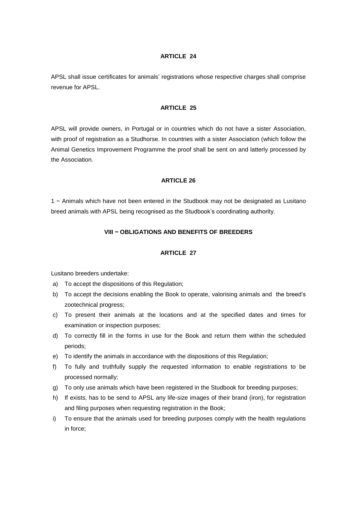#### **ARTICLE 24**

APSL shall issue certificates for animals' registrations whose respective charges shall comprise revenue for APSL.

## **ARTICLE 25**

APSL will provide owners, in Portugal or in countries which do not have a sister Association, with proof of registration as a Studhorse. In countries with a sister Association (which follow the Animal Genetics Improvement Programme the proof shall be sent on and latterly processed by the Association.

#### **ARTICLE 26**

1 − Animals which have not been entered in the Studbook may not be designated as Lusitano breed animals with APSL being recognised as the Studbook's coordinating authority.

#### **VIII − OBLIGATIONS AND BENEFITS OF BREEDERS**

## **ARTICLE 27**

Lusitano breeders undertake:

- a) To accept the dispositions of this Regulation;
- b) To accept the decisions enabling the Book to operate, valorising animals and the breed's zootechnical progress;
- c) To present their animals at the locations and at the specified dates and times for examination or inspection purposes;
- d) To correctly fill in the forms in use for the Book and return them within the scheduled periods;
- e) To identify the animals in accordance with the dispositions of this Regulation;
- f) To fully and truthfully supply the requested information to enable registrations to be processed normally;
- g) To only use animals which have been registered in the Studbook for breeding purposes;
- h) If exists, has to be send to APSL any life-size images of their brand (iron), for registration and filing purposes when requesting registration in the Book;
- i) To ensure that the animals used for breeding purposes comply with the health regulations in force;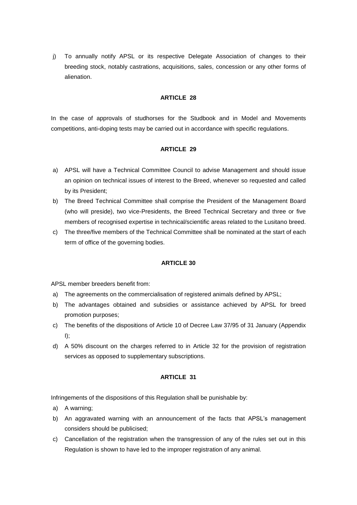j) To annually notify APSL or its respective Delegate Association of changes to their breeding stock, notably castrations, acquisitions, sales, concession or any other forms of alienation.

## **ARTICLE 28**

In the case of approvals of studhorses for the Studbook and in Model and Movements competitions, anti-doping tests may be carried out in accordance with specific regulations.

# **ARTICLE 29**

- a) APSL will have a Technical Committee Council to advise Management and should issue an opinion on technical issues of interest to the Breed, whenever so requested and called by its President;
- b) The Breed Technical Committee shall comprise the President of the Management Board (who will preside), two vice-Presidents, the Breed Technical Secretary and three or five members of recognised expertise in technical/scientific areas related to the Lusitano breed.
- c) The three/five members of the Technical Committee shall be nominated at the start of each term of office of the governing bodies.

## **ARTICLE 30**

APSL member breeders benefit from:

- a) The agreements on the commercialisation of registered animals defined by APSL;
- b) The advantages obtained and subsidies or assistance achieved by APSL for breed promotion purposes;
- c) The benefits of the dispositions of Article 10 of Decree Law 37/95 of 31 January (Appendix  $I$ );
- d) A 50% discount on the charges referred to in Article 32 for the provision of registration services as opposed to supplementary subscriptions.

## **ARTICLE 31**

Infringements of the dispositions of this Regulation shall be punishable by:

- a) A warning;
- b) An aggravated warning with an announcement of the facts that APSL's management considers should be publicised;
- c) Cancellation of the registration when the transgression of any of the rules set out in this Regulation is shown to have led to the improper registration of any animal.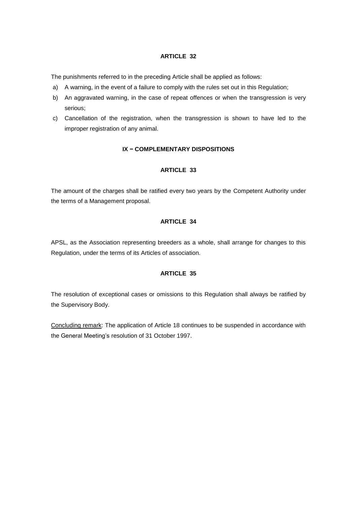# **ARTICLE 32**

The punishments referred to in the preceding Article shall be applied as follows:

- a) A warning, in the event of a failure to comply with the rules set out in this Regulation;
- b) An aggravated warning, in the case of repeat offences or when the transgression is very serious;
- c) Cancellation of the registration, when the transgression is shown to have led to the improper registration of any animal.

# **IX − COMPLEMENTARY DISPOSITIONS**

# **ARTICLE 33**

The amount of the charges shall be ratified every two years by the Competent Authority under the terms of a Management proposal.

# **ARTICLE 34**

APSL, as the Association representing breeders as a whole, shall arrange for changes to this Regulation, under the terms of its Articles of association.

# **ARTICLE 35**

The resolution of exceptional cases or omissions to this Regulation shall always be ratified by the Supervisory Body.

Concluding remark: The application of Article 18 continues to be suspended in accordance with the General Meeting's resolution of 31 October 1997.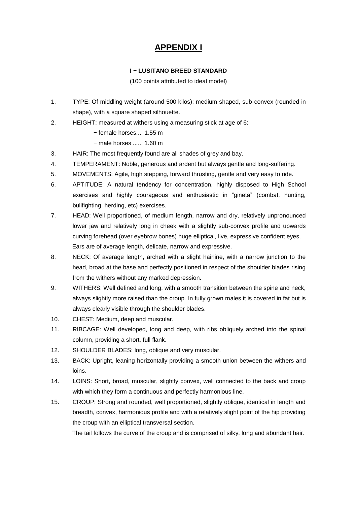# **APPENDIX I**

# **I − LUSITANO BREED STANDARD**

(100 points attributed to ideal model)

- 1. TYPE: Of middling weight (around 500 kilos); medium shaped, sub-convex (rounded in shape), with a square shaped silhouette.
- 2. HEIGHT: measured at withers using a measuring stick at age of 6:
	- − female horses.... 1.55 m
	- − male horses ...... 1.60 m
- 3. HAIR: The most frequently found are all shades of grey and bay.
- 4. TEMPERAMENT: Noble, generous and ardent but always gentle and long-suffering.
- 5. MOVEMENTS: Agile, high stepping, forward thrusting, gentle and very easy to ride.
- 6. APTITUDE: A natural tendency for concentration, highly disposed to High School exercises and highly courageous and enthusiastic in "gineta" (combat, hunting, bullfighting, herding, etc) exercises.
- 7. HEAD: Well proportioned, of medium length, narrow and dry, relatively unpronounced lower jaw and relatively long in cheek with a slightly sub-convex profile and upwards curving forehead (over eyebrow bones) huge elliptical, live, expressive confident eyes. Ears are of average length, delicate, narrow and expressive.
- 8. NECK: Of average length, arched with a slight hairline, with a narrow junction to the head, broad at the base and perfectly positioned in respect of the shoulder blades rising from the withers without any marked depression.
- 9. WITHERS: Well defined and long, with a smooth transition between the spine and neck, always slightly more raised than the croup. In fully grown males it is covered in fat but is always clearly visible through the shoulder blades.
- 10. CHEST: Medium, deep and muscular.
- 11. RIBCAGE: Well developed, long and deep, with ribs obliquely arched into the spinal column, providing a short, full flank.
- 12. SHOULDER BLADES: long, oblique and very muscular.
- 13. BACK: Upright, leaning horizontally providing a smooth union between the withers and loins.
- 14. LOINS: Short, broad, muscular, slightly convex, well connected to the back and croup with which they form a continuous and perfectly harmonious line.
- 15. CROUP: Strong and rounded, well proportioned, slightly oblique, identical in length and breadth, convex, harmonious profile and with a relatively slight point of the hip providing the croup with an elliptical transversal section.

The tail follows the curve of the croup and is comprised of silky, long and abundant hair.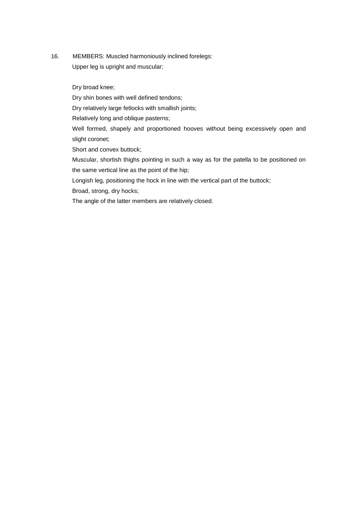16. MEMBERS: Muscled harmoniously inclined forelegs: Upper leg is upright and muscular;

Dry broad knee;

Dry shin bones with well defined tendons;

Dry relatively large fetlocks with smallish joints;

Relatively long and oblique pasterns;

Well formed, shapely and proportioned hooves without being excessively open and slight coronet;

Short and convex buttock;

Muscular, shortish thighs pointing in such a way as for the patella to be positioned on the same vertical line as the point of the hip;

Longish leg, positioning the hock in line with the vertical part of the buttock;

Broad, strong, dry hocks;

The angle of the latter members are relatively closed.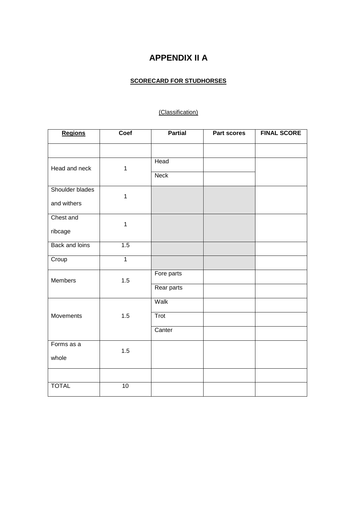# **APPENDIX II A**

# **SCORECARD FOR STUDHORSES**

# (Classification)

| <b>Regions</b>        | Coef            | <b>Partial</b> | Part scores | <b>FINAL SCORE</b> |
|-----------------------|-----------------|----------------|-------------|--------------------|
|                       |                 |                |             |                    |
| Head and neck         | $\mathbf 1$     | Head           |             |                    |
|                       |                 | <b>Neck</b>    |             |                    |
| Shoulder blades       | $\mathbf{1}$    |                |             |                    |
| and withers           |                 |                |             |                    |
| Chest and             | 1               |                |             |                    |
| ribcage               |                 |                |             |                    |
| <b>Back and loins</b> | 1.5             |                |             |                    |
| Croup                 | $\overline{1}$  |                |             |                    |
| Members               | 1.5             | Fore parts     |             |                    |
|                       |                 | Rear parts     |             |                    |
|                       |                 | Walk           |             |                    |
| Movements             | 1.5             | Trot           |             |                    |
|                       |                 | Canter         |             |                    |
| Forms as a            | 1.5             |                |             |                    |
| whole                 |                 |                |             |                    |
|                       |                 |                |             |                    |
| <b>TOTAL</b>          | $\overline{10}$ |                |             |                    |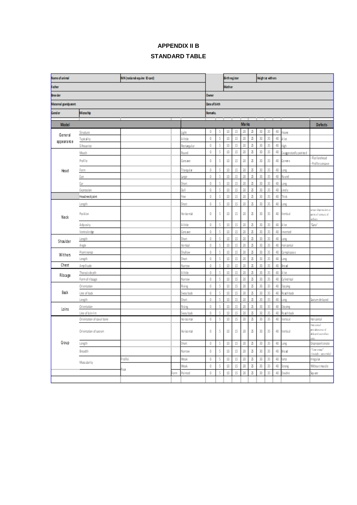# **APPENDIX II B STANDARD TABLE**

| NIN (national equine Dicard)<br><b>Name of animal</b> |                           |         |                      |                                | <b>Birthregister</b> |               |          |          | Heightat withers |        |          |          |          |                       |                                                       |
|-------------------------------------------------------|---------------------------|---------|----------------------|--------------------------------|----------------------|---------------|----------|----------|------------------|--------|----------|----------|----------|-----------------------|-------------------------------------------------------|
| <b>Father</b>                                         |                           |         |                      |                                |                      | <b>Mother</b> |          |          |                  |        |          |          |          |                       |                                                       |
| Bree der                                              |                           |         | Owner                |                                |                      |               |          |          |                  |        |          |          |          |                       |                                                       |
| Maternal grandparent                                  |                           |         | <b>Date of birth</b> |                                |                      |               |          |          |                  |        |          |          |          |                       |                                                       |
| Gender<br>Microchip                                   |                           |         | Remarks.             |                                |                      |               |          |          |                  |        |          |          |          |                       |                                                       |
| Model                                                 |                           |         |                      | <b>Marks</b><br><b>Defects</b> |                      |               |          |          |                  |        |          |          |          |                       |                                                       |
|                                                       | Structure                 |         |                      | Light.                         | 0                    | 5             | 10       | 15       | 20               | Σ      | 30       | 35       | 40       | eaw                   |                                                       |
| General                                               | Typicality                |         |                      | A little                       | 0                    | 5             | 10       | 15       | 20               | Σ      | 30       | 35       | 40       | A lot                 |                                                       |
| appearance                                            | Si houe tte               |         |                      | Rectangular                    | 0                    | 5             | 10       | 15       | 20               | Ъ      | 30       | 35       | 40       | ïεh                   |                                                       |
|                                                       | Mouth                     |         |                      | Round                          | 0                    | 5             | 10       | 15       | 20               | Σ      | 30       | 35       | 40       | xaggeratedly pointe d |                                                       |
|                                                       | Profile                   |         |                      | Concave                        | û                    | 5             | 10       | 15       | 20               | Ъ      | 30       | 35       | 40       | Convex                | Rat forehead                                          |
|                                                       |                           |         |                      |                                |                      |               |          |          |                  |        |          |          |          |                       | Profile concave                                       |
| Head                                                  | Form                      |         |                      | Triangular                     | 0<br>0               | 5<br>5        | 10<br>10 | 15<br>15 | 20<br>20         | Σ<br>Σ | 30<br>30 | 35<br>35 | 40<br>40 | ong<br>to und         |                                                       |
|                                                       | Eye<br>Ear                |         |                      | large<br>Short                 | 0                    | 5             | 10       | 15       | 20               | Σ      | 30       | 35       | 40       | ong                   |                                                       |
|                                                       | Expression                |         |                      | Ωull                           | 0                    | 5             | 10       | 15       | 20               | Σ      | 30       | 35       | 40       | ively                 |                                                       |
|                                                       | Headneckjoint             |         |                      | Fine                           | 0                    | 5             | 10       | 15       | 20               | Σ      | 30       | 35       | 40       | Thick                 |                                                       |
|                                                       | Length                    |         |                      | Short                          | 0                    | 5             | 10       | 15       | 20               | Σ      | 30       | 35       | 40       | ong                   |                                                       |
| Neck                                                  | Position                  |         |                      | Horizontal                     | 0                    | 5             | 10       | 15       | 20               | Σ      | 30       | 35       | 40       | Vertical              | In not depress form at<br>in to a might<br>sities     |
|                                                       | Adjposity                 |         |                      | A little                       | 0                    | 5             | 10       | 15       | 20               | Σ      | 30       | 35       | 40       | A lot                 | "Guta"                                                |
|                                                       | Ventrale dge              |         |                      | Concave                        | 0                    | 5             | 10       | 15       | 20               | Σ      | 30       | 35       | 40       | nverted               |                                                       |
| Shoulder                                              | Length                    |         |                      | Short                          | 0                    | 5             | 10       | 15       | 20               | Σ      | 30       | 35       | 40       | ong                   |                                                       |
|                                                       | Angle                     |         |                      | Ventical                       | $\theta$             | 5             | 10       | 15       | 20               | Σ      | 30       | 35       | 40       | lorizontal            |                                                       |
| Withers                                               | Prominence                |         |                      | Shallow                        | 0                    | 5             | 10       | 15       | 20               | Σ      | 30       | 35       | 40       | Co nepi cuou s        |                                                       |
|                                                       | Length                    |         |                      | Short                          | 0                    | 5             | 10       | 15       | 20               | Ъ      | 30       | 35       | 40       | ong                   |                                                       |
| Chest                                                 | Amplitude                 |         |                      | Namow                          | o                    | ç.            | 10       | 15       | 20               | Σ      | 30       | 35       | 40       | οæί                   |                                                       |
| Ribcape                                               | Thoracic de pth           |         |                      | A little                       | 0                    | 5             | 10       | 15       | 20               | Σ      | 30       | 35       | 40       | A lot                 |                                                       |
|                                                       | Form of ribrage           |         |                      | Narrow                         | 0                    | 5             | 10       | 15       | 20               | Ъ      | 30       | 35       | 40       | <b>Cylindrical</b>    |                                                       |
|                                                       | Orientation               |         |                      | Rising                         | $\theta$             | 5             | 10       | 15       | 20               | Σ      | 30       | 35       | 40       | ipping                |                                                       |
| Back                                                  | Line of back              |         |                      | Sway back                      | 0<br>0               | 5<br>5        | 10<br>10 | 15<br>15 | 20<br>20         | Σ<br>Σ | 30<br>30 | 35<br>35 | 40<br>40 | lo ach back           |                                                       |
|                                                       | Length<br>Orientation     |         |                      | Short<br>Rising                | 0                    | 5             | 10       | 15       | 20               | Σ      | 30       | 35       | 40       | ont.                  | Sacrum de layed                                       |
| Loins                                                 | Line of loin rim          |         |                      | Šwáy báck                      | 0                    | Š             | 10       | 15       | 20               | Σ      | 30       | 35       | 40       | io ping<br>o ach back |                                                       |
|                                                       | Orientation of coval bone |         |                      | Horizontal                     | 0                    | 5             | $10\,$   | 15       | 20               | Σ      | 30       | 35       | 40       | ertical               | Horizontal                                            |
|                                                       | Orientation of sacrum     |         |                      | Ho rizo ntai                   | 0                    | 5             | 10       | 15       | 20               | Σ      | 30       | 35       | 40       | /ertical              | Isabosiol<br>a sonradulorg<br>dela se di sa croilia c |
| Goup                                                  | Length                    |         |                      | Short                          | 0                    | 5             | 10       | 15       | 20               | Х      | 30       | 35       | 40       | .ong                  | Disproportionate                                      |
|                                                       | Breadth                   |         |                      | Narrow                         | 0                    | 5             | 10       | 15       | 20               | Ъ      | 30       | 35       | 40       | Broad                 | "Courtrage"<br>labinavq - algistă                     |
|                                                       | Muscularity               | Profile |                      | Weak                           | 0                    | 5             | 10       | 15       | 20               | Ъ      | 30       | 35       | 40       | orte                  | megular                                               |
|                                                       |                           | Rear    |                      | Wesk                           | 0                    | 5             | 10       | 15       | 20               | Σ      | 30       | 35       | 40       | trong                 | Without muscle                                        |
|                                                       |                           |         | òm                   | Pointed                        | 0                    | 5             | 10       | 15       | 20               | Σ      | 30       | 35       | 40       | ouble                 | Sou are                                               |
|                                                       |                           |         |                      |                                |                      |               |          |          |                  |        |          |          |          |                       |                                                       |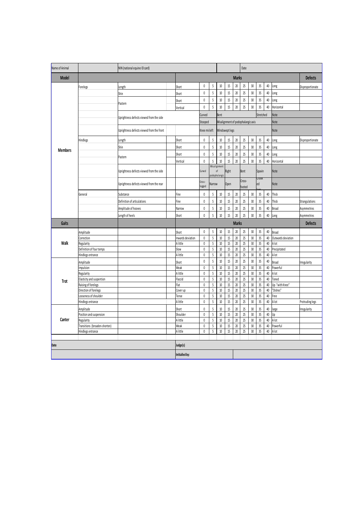| Name of Animal |                                                  | NIN (national equine ID card)             |                  |                |                                |                     | Date             |                  |                                    |                  |                   |                |                         |                  |
|----------------|--------------------------------------------------|-------------------------------------------|------------------|----------------|--------------------------------|---------------------|------------------|------------------|------------------------------------|------------------|-------------------|----------------|-------------------------|------------------|
| <b>Model</b>   |                                                  |                                           |                  | <b>Marks</b>   |                                |                     |                  |                  |                                    |                  |                   | <b>Defects</b> |                         |                  |
|                | Forelegs                                         | Length                                    | Short            | 0              | 5                              | $10\,$              | 15               | $20\,$           | 25                                 | $30\,$           | 35                | 40             | Long                    | Disproportionate |
|                |                                                  | Shin                                      | Short            | 0              | 5                              | $10\,$              | 15               | 20               | 25                                 | 30               | 35                | 40             | Long                    |                  |
|                |                                                  |                                           | Short            | 0              | 5                              | $10\,$              | 15               | 20               | 25                                 | 30               | 35                | 40             | Long                    |                  |
|                |                                                  | Pastern                                   | Vertical         | 0              | 5                              | 10                  | 15               | 20               | 25                                 | 30               | 35                | 40             | Horizontal              |                  |
|                |                                                  |                                           |                  | Curved         |                                | Bent                |                  |                  |                                    |                  | Stretched         |                | Note                    |                  |
|                | Uprightness defects viewed from the side         |                                           |                  |                | Stooped                        |                     |                  |                  | Misalignment of podophalangic axis |                  | Note              |                |                         |                  |
|                |                                                  | Uprightness defects viewed from the front |                  |                | Windswept legs<br>Knee misleft |                     |                  |                  |                                    |                  |                   |                | Note                    |                  |
|                | Hindlegs                                         | Length                                    | Short            | $\pmb{0}$      | 5                              | $10\,$              | 15               | $20\,$           | 25                                 | 30               | 35                | 40             | Long                    | Disproportionate |
|                |                                                  | Shin                                      | Short            | $\pmb{0}$      | 5                              | $10\,$              | 15               | $20\,$           | 25                                 | 30               | 35                | 40             | long                    |                  |
| <b>Members</b> |                                                  |                                           | Short            | 0              | 5                              | $10\,$              | 15               | $20\,$           | 25                                 | 30               | 35                | 40             | Long                    |                  |
|                |                                                  | Pastern                                   | Vertical         | 0              | 5                              | 10                  | 15               | 20               | 25                                 | 30               | 35                | 40             | Horizontal              |                  |
|                |                                                  |                                           |                  |                |                                | Misalignment        |                  |                  |                                    |                  |                   |                |                         |                  |
|                |                                                  | Uprightness defects viewed from the side  |                  | Curved         |                                | of<br>podophalangio | Right            |                  | Bent                               |                  | Spavin            |                | Note                    |                  |
|                |                                                  |                                           |                  | Cross-         |                                |                     |                  |                  | Cross-                             |                  | <b>JUUI</b><br>ed |                |                         |                  |
|                |                                                  | Uprightness defects viewed from the rear  |                  | legged         | Narrow                         |                     | <b>Open</b>      |                  | footed                             |                  |                   |                | Note                    |                  |
|                | General                                          | Substance                                 | Fine             | $\pmb{0}$      | 5                              | $10\,$              | 15               | $20\,$           | 25                                 | 30               | 35                | 40             | Thick                   |                  |
|                |                                                  | Definition of articulations               | Fine             | 0              | 5                              | $10\,$              | $15\,$           | $20\,$           | 25                                 | 30               | 35                | 40             | Thick                   | Strangulations   |
|                |                                                  | Amplitude of hooves                       | Narrow           | $\pmb{0}$      | $\sf 5$                        | $10\,$              | $15\,$           | $20\,$           | $25\,$                             | 30               | 35                | $40\,$         | Broad                   | Asymmetries      |
|                |                                                  | Length of heels                           | Short            | $\mathbf{0}$   | 5                              | $10\,$              | 15               | 20               | 25                                 | 30               | 35                | 40             | Long                    | Asymmetries      |
| Gaits          |                                                  |                                           |                  |                |                                | <b>Marks</b>        |                  |                  |                                    |                  |                   |                |                         | <b>Defects</b>   |
|                | Amplitude                                        |                                           | Short            | $\pmb{0}$      | $\sqrt{5}$                     | $10\,$              | $15\,$           | $20\,$           | $25\,$                             | $30\,$           | 35                | $40\,$         | Broad                   |                  |
|                | Correction                                       |                                           | nwards deviation | $\pmb{0}$      | 5                              | 10                  | $15\,$           | $20\,$           | 25                                 | 30               | 35                | 40             | Outwards deviation      |                  |
| Walk           | Regularity                                       |                                           | A little         | $\pmb{0}$      | $\sqrt{5}$                     | $10\,$              | $15\,$           | $20\,$           | 25                                 | $30\,$           | 35                | $40\,$         | A lot                   |                  |
|                | Definition of four temps                         |                                           | Slow             | 0              | $\overline{5}$                 | $10\,$              | $15\,$           | $20\,$           | $25\,$                             | 30               | 35                | 40             | Precipitated            |                  |
|                | Hindlegs entrance                                |                                           | A little         | $\mathbf{0}$   | 5                              | $10\,$              | 15               | 20               | 25                                 | 30               | 35                | 40             | A lot                   |                  |
|                | Amplitude                                        |                                           | Short            | $\pmb{0}$      | $\overline{5}$                 | 10                  | $15\,$           | $20\,$           | 25                                 | 30               | 35                | 40             | Broad                   | Irregularity     |
|                | mpulsion                                         |                                           | Weak             | $\pmb{0}$      | $\sqrt{5}$                     | $10$                | 15               | $20$             | 25                                 | 30               | 35                | 40             | Powerful                |                  |
|                | Regularity                                       |                                           | A little         | $\pmb{0}$      | $\sqrt{5}$                     | $10\,$              | 15               | $20\,$           | 25                                 | 30               | 35                | 40             | A lot                   |                  |
| <b>Trot</b>    | Elasticity and suspention<br>Raising of forelegs |                                           | Flaccid<br>Flat  | 0<br>$\pmb{0}$ | 5<br>5                         | $10\,$<br>$10\,$    | $15\,$<br>$15\,$ | $20\,$<br>$20\,$ | $25\,$<br>$25\,$                   | $30\,$<br>$30\,$ | 35<br>35          | 40<br>$40\,$   | Toned<br>Up-"with Knee" |                  |
|                | Direction of forelegs                            |                                           | Cover up         | 0              | 5                              | $10\,$              | 15               | $20\,$           | 25                                 | 30               | 35                | 40             | "Dishes"                |                  |
|                | ooseness of shoulder                             |                                           | Tense            | $\pmb{0}$      | 5                              | $10\,$              | 15               | 20               | 25                                 | 30               | 35                | 40             | Free                    |                  |
|                | Hindlegs entrance                                |                                           | A little         | $\pmb{0}$      | 5                              | $10$                | 15               | $20\,$           | $25\,$                             | 30               | 35                | 40             | A lot                   | Protruding legs  |
|                | Amplitude                                        |                                           | short            | 0              | $\overline{5}$                 | 10                  | 15               | 20               | 25                                 | 30               | 35                | 40             | large                   | Irregularity     |
| Canter         | Position and suspension                          |                                           | Shoulder         | $\mathbf{0}$   | $\sf 5$                        | $10\,$              | $15\,$           | $20\,$           | 25                                 | 30               | 35                | 40             | Up                      |                  |
|                | Regularity                                       |                                           | A little         | $\pmb{0}$      | $\sqrt{5}$                     | $10\,$              | $15\,$           | $20\,$           | 25                                 | $30\,$           | 35                | 40             | A lot                   |                  |
|                | Transitions (broaden-shorten)                    |                                           | Weak             | 0              | 5                              | 10                  | $15\,$           | 20               | 25                                 | 30               | 35                | 40             | Powerful                |                  |
|                | Hindlegs entrance                                |                                           | A little         | 0              | 5                              | $10\,$              | 15               | $20\,$           | 25                                 | 30               | 35                | $40\,$         | A lot                   |                  |
|                |                                                  |                                           |                  |                |                                |                     |                  |                  |                                    |                  |                   |                |                         |                  |
| Date           |                                                  |                                           | Judge(s)         |                |                                |                     |                  |                  |                                    |                  |                   |                |                         |                  |
|                |                                                  |                                           | Initialled by:   |                |                                |                     |                  |                  |                                    |                  |                   |                |                         |                  |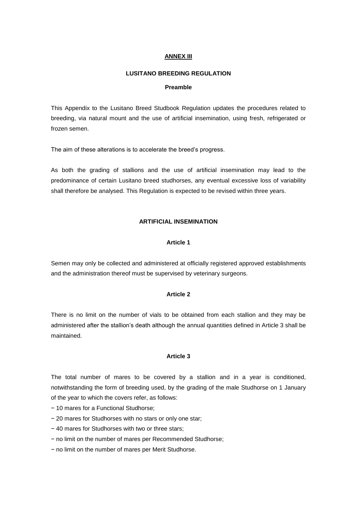#### **ANNEX III**

#### **LUSITANO BREEDING REGULATION**

#### **Preamble**

This Appendix to the Lusitano Breed Studbook Regulation updates the procedures related to breeding, via natural mount and the use of artificial insemination, using fresh, refrigerated or frozen semen.

The aim of these alterations is to accelerate the breed's progress.

As both the grading of stallions and the use of artificial insemination may lead to the predominance of certain Lusitano breed studhorses, any eventual excessive loss of variability shall therefore be analysed. This Regulation is expected to be revised within three years.

# **ARTIFICIAL INSEMINATION**

#### **Article 1**

Semen may only be collected and administered at officially registered approved establishments and the administration thereof must be supervised by veterinary surgeons.

#### **Article 2**

There is no limit on the number of vials to be obtained from each stallion and they may be administered after the stallion's death although the annual quantities defined in Article 3 shall be maintained.

#### **Article 3**

The total number of mares to be covered by a stallion and in a year is conditioned, notwithstanding the form of breeding used, by the grading of the male Studhorse on 1 January of the year to which the covers refer, as follows:

- − 10 mares for a Functional Studhorse;
- − 20 mares for Studhorses with no stars or only one star;
- − 40 mares for Studhorses with two or three stars;
- − no limit on the number of mares per Recommended Studhorse;
- − no limit on the number of mares per Merit Studhorse.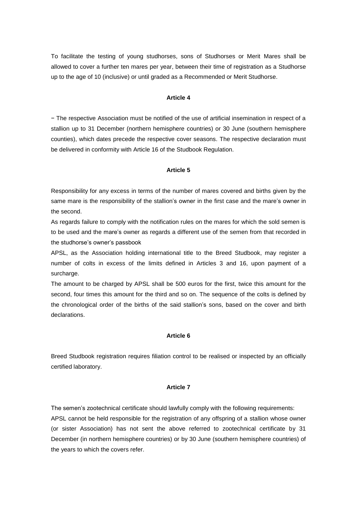To facilitate the testing of young studhorses, sons of Studhorses or Merit Mares shall be allowed to cover a further ten mares per year, between their time of registration as a Studhorse up to the age of 10 (inclusive) or until graded as a Recommended or Merit Studhorse.

#### **Article 4**

− The respective Association must be notified of the use of artificial insemination in respect of a stallion up to 31 December (northern hemisphere countries) or 30 June (southern hemisphere counties), which dates precede the respective cover seasons. The respective declaration must be delivered in conformity with Article 16 of the Studbook Regulation.

#### **Article 5**

Responsibility for any excess in terms of the number of mares covered and births given by the same mare is the responsibility of the stallion's owner in the first case and the mare's owner in the second.

As regards failure to comply with the notification rules on the mares for which the sold semen is to be used and the mare's owner as regards a different use of the semen from that recorded in the studhorse's owner's passbook

APSL, as the Association holding international title to the Breed Studbook, may register a number of colts in excess of the limits defined in Articles 3 and 16, upon payment of a surcharge.

The amount to be charged by APSL shall be 500 euros for the first, twice this amount for the second, four times this amount for the third and so on. The sequence of the colts is defined by the chronological order of the births of the said stallion's sons, based on the cover and birth declarations.

#### **Article 6**

Breed Studbook registration requires filiation control to be realised or inspected by an officially certified laboratory.

#### **Article 7**

The semen's zootechnical certificate should lawfully comply with the following requirements: APSL cannot be held responsible for the registration of any offspring of a stallion whose owner (or sister Association) has not sent the above referred to zootechnical certificate by 31 December (in northern hemisphere countries) or by 30 June (southern hemisphere countries) of the years to which the covers refer.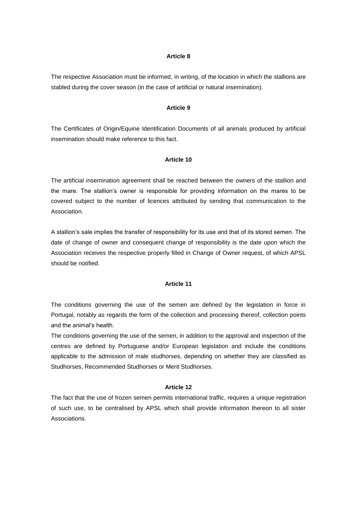The respective Association must be informed, in writing, of the location in which the stallions are stabled during the cover season (in the case of artificial or natural insemination).

#### **Article 9**

The Certificates of Origin/Equine Identification Documents of all animals produced by artificial insemination should make reference to this fact.

#### **Article 10**

The artificial insemination agreement shall be reached between the owners of the stallion and the mare. The stallion's owner is responsible for providing information on the mares to be covered subject to the number of licences attributed by sending that communication to the Association.

A stallion's sale implies the transfer of responsibility for its use and that of its stored semen. The date of change of owner and consequent change of responsibility is the date upon which the Association receives the respective properly filled in Change of Owner request, of which APSL should be notified.

#### **Article 11**

The conditions governing the use of the semen are defined by the legislation in force in Portugal, notably as regards the form of the collection and processing thereof, collection points and the animal's health.

The conditions governing the use of the semen, in addition to the approval and inspection of the centres are defined by Portuguese and/or European legislation and include the conditions applicable to the admission of male studhorses, depending on whether they are classified as Studhorses, Recommended Studhorses or Merit Studhorses.

#### **Article 12**

The fact that the use of frozen semen permits international traffic, requires a unique registration of such use, to be centralised by APSL which shall provide information thereon to all sister Associations.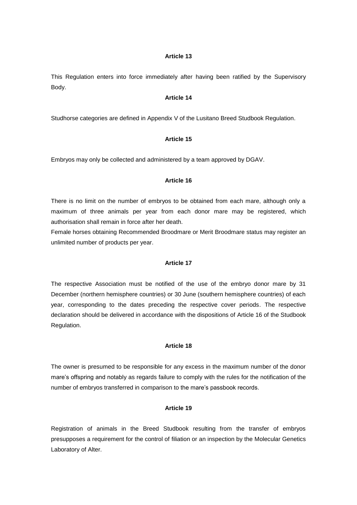This Regulation enters into force immediately after having been ratified by the Supervisory Body.

#### **Article 14**

Studhorse categories are defined in Appendix V of the Lusitano Breed Studbook Regulation.

#### **Article 15**

Embryos may only be collected and administered by a team approved by DGAV.

#### **Article 16**

There is no limit on the number of embryos to be obtained from each mare, although only a maximum of three animals per year from each donor mare may be registered, which authorisation shall remain in force after her death.

Female horses obtaining Recommended Broodmare or Merit Broodmare status may register an unlimited number of products per year.

#### **Article 17**

The respective Association must be notified of the use of the embryo donor mare by 31 December (northern hemisphere countries) or 30 June (southern hemisphere countries) of each year, corresponding to the dates preceding the respective cover periods. The respective declaration should be delivered in accordance with the dispositions of Article 16 of the Studbook Regulation.

#### **Article 18**

The owner is presumed to be responsible for any excess in the maximum number of the donor mare's offspring and notably as regards failure to comply with the rules for the notification of the number of embryos transferred in comparison to the mare's passbook records.

## **Article 19**

Registration of animals in the Breed Studbook resulting from the transfer of embryos presupposes a requirement for the control of filiation or an inspection by the Molecular Genetics Laboratory of Alter.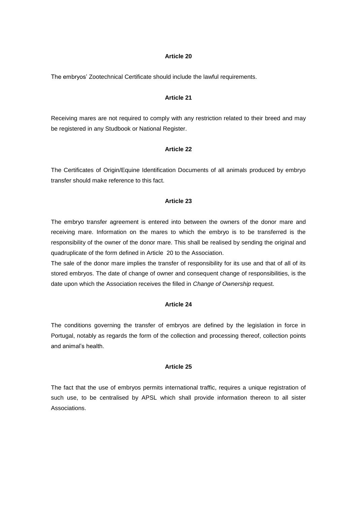The embryos' Zootechnical Certificate should include the lawful requirements.

#### **Article 21**

Receiving mares are not required to comply with any restriction related to their breed and may be registered in any Studbook or National Register.

#### **Article 22**

The Certificates of Origin/Equine Identification Documents of all animals produced by embryo transfer should make reference to this fact.

#### **Article 23**

The embryo transfer agreement is entered into between the owners of the donor mare and receiving mare. Information on the mares to which the embryo is to be transferred is the responsibility of the owner of the donor mare. This shall be realised by sending the original and quadruplicate of the form defined in Article 20 to the Association.

The sale of the donor mare implies the transfer of responsibility for its use and that of all of its stored embryos. The date of change of owner and consequent change of responsibilities, is the date upon which the Association receives the filled in *Change of Ownership* request.

## **Article 24**

The conditions governing the transfer of embryos are defined by the legislation in force in Portugal, notably as regards the form of the collection and processing thereof, collection points and animal's health.

#### **Article 25**

The fact that the use of embryos permits international traffic, requires a unique registration of such use, to be centralised by APSL which shall provide information thereon to all sister Associations.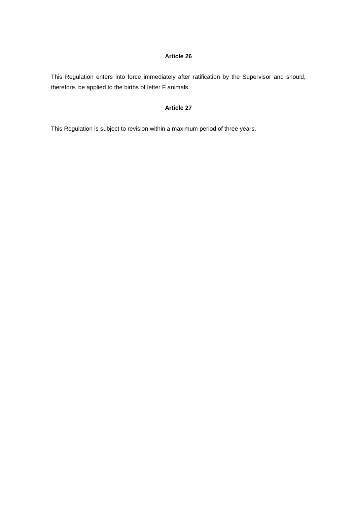This Regulation enters into force immediately after ratification by the Supervisor and should, therefore, be applied to the births of letter F animals.

## **Article 27**

This Regulation is subject to revision within a maximum period of three years.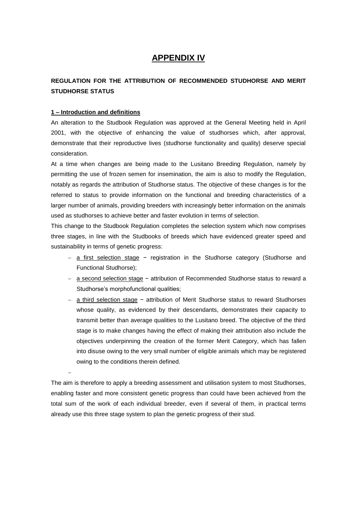# **APPENDIX IV**

# **REGULATION FOR THE ATTRIBUTION OF RECOMMENDED STUDHORSE AND MERIT STUDHORSE STATUS**

## **1 – Introduction and definitions**

 $\overline{a}$ 

An alteration to the Studbook Regulation was approved at the General Meeting held in April 2001, with the objective of enhancing the value of studhorses which, after approval, demonstrate that their reproductive lives (studhorse functionality and quality) deserve special consideration.

At a time when changes are being made to the Lusitano Breeding Regulation, namely by permitting the use of frozen semen for insemination, the aim is also to modify the Regulation, notably as regards the attribution of Studhorse status. The objective of these changes is for the referred to status to provide information on the functional and breeding characteristics of a larger number of animals, providing breeders with increasingly better information on the animals used as studhorses to achieve better and faster evolution in terms of selection.

This change to the Studbook Regulation completes the selection system which now comprises three stages, in line with the Studbooks of breeds which have evidenced greater speed and sustainability in terms of genetic progress:

- a first selection stage − registration in the Studhorse category (Studhorse and Functional Studhorse);
- a second selection stage − attribution of Recommended Studhorse status to reward a Studhorse's morphofunctional qualities;
- a third selection stage − attribution of Merit Studhorse status to reward Studhorses whose quality, as evidenced by their descendants, demonstrates their capacity to transmit better than average qualities to the Lusitano breed. The objective of the third stage is to make changes having the effect of making their attribution also include the objectives underpinning the creation of the former Merit Category, which has fallen into disuse owing to the very small number of eligible animals which may be registered owing to the conditions therein defined.

The aim is therefore to apply a breeding assessment and utilisation system to most Studhorses, enabling faster and more consistent genetic progress than could have been achieved from the total sum of the work of each individual breeder, even if several of them, in practical terms already use this three stage system to plan the genetic progress of their stud.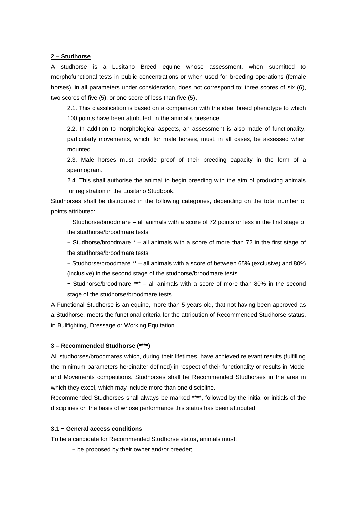#### **2 – Studhorse**

A studhorse is a Lusitano Breed equine whose assessment, when submitted to morphofunctional tests in public concentrations or when used for breeding operations (female horses), in all parameters under consideration, does not correspond to: three scores of six (6), two scores of five (5), or one score of less than five (5).

2.1. This classification is based on a comparison with the ideal breed phenotype to which 100 points have been attributed, in the animal's presence.

2.2. In addition to morphological aspects, an assessment is also made of functionality, particularly movements, which, for male horses, must, in all cases, be assessed when mounted.

2.3. Male horses must provide proof of their breeding capacity in the form of a spermogram.

2.4. This shall authorise the animal to begin breeding with the aim of producing animals for registration in the Lusitano Studbook.

Studhorses shall be distributed in the following categories, depending on the total number of points attributed:

− Studhorse/broodmare – all animals with a score of 72 points or less in the first stage of the studhorse/broodmare tests

− Studhorse/broodmare \* – all animals with a score of more than 72 in the first stage of the studhorse/broodmare tests

− Studhorse/broodmare \*\* – all animals with a score of between 65% (exclusive) and 80% (inclusive) in the second stage of the studhorse/broodmare tests

− Studhorse/broodmare \*\*\* – all animals with a score of more than 80% in the second stage of the studhorse/broodmare tests.

A Functional Studhorse is an equine, more than 5 years old, that not having been approved as a Studhorse, meets the functional criteria for the attribution of Recommended Studhorse status, in Bullfighting, Dressage or Working Equitation.

#### **3 – Recommended Studhorse (\*\*\*\*)**

All studhorses/broodmares which, during their lifetimes, have achieved relevant results (fulfilling the minimum parameters hereinafter defined) in respect of their functionality or results in Model and Movements competitions. Studhorses shall be Recommended Studhorses in the area in which they excel, which may include more than one discipline.

Recommended Studhorses shall always be marked \*\*\*\*, followed by the initial or initials of the disciplines on the basis of whose performance this status has been attributed.

#### **3.1 − General access conditions**

To be a candidate for Recommended Studhorse status, animals must:

− be proposed by their owner and/or breeder;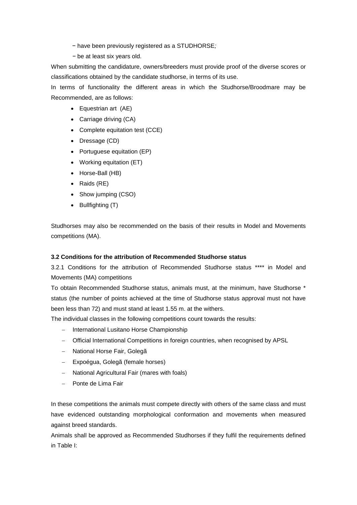- − have been previously registered as a STUDHORSE*;*
- *−* be at least six years old.

When submitting the candidature, owners/breeders must provide proof of the diverse scores or classifications obtained by the candidate studhorse, in terms of its use.

In terms of functionality the different areas in which the Studhorse/Broodmare may be Recommended, are as follows:

- Equestrian art (AE)
- Carriage driving (CA)
- Complete equitation test (CCE)
- Dressage (CD)
- Portuguese equitation (EP)
- Working equitation (ET)
- Horse-Ball (HB)
- Raids (RE)
- Show jumping (CSO)
- $\bullet$  Bullfighting  $(T)$

Studhorses may also be recommended on the basis of their results in Model and Movements competitions (MA).

#### **3.2 Conditions for the attribution of Recommended Studhorse status**

3.2.1 Conditions for the attribution of Recommended Studhorse status \*\*\*\* in Model and Movements (MA) competitions

To obtain Recommended Studhorse status, animals must, at the minimum, have Studhorse \* status (the number of points achieved at the time of Studhorse status approval must not have been less than 72) and must stand at least 1.55 m. at the withers.

The individual classes in the following competitions count towards the results:

- International Lusitano Horse Championship
- Official International Competitions in foreign countries, when recognised by APSL
- National Horse Fair, Golegã
- Expoégua, Golegã (female horses)
- National Agricultural Fair (mares with foals)
- Ponte de Lima Fair

In these competitions the animals must compete directly with others of the same class and must have evidenced outstanding morphological conformation and movements when measured against breed standards.

Animals shall be approved as Recommended Studhorses if they fulfil the requirements defined in Table I: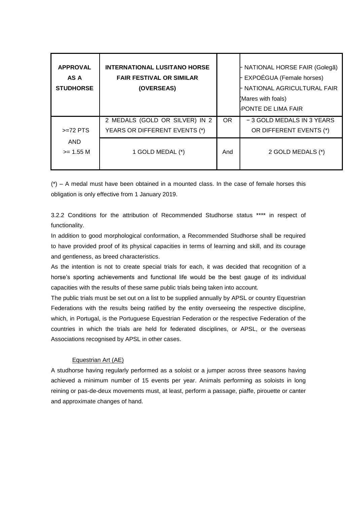| <b>APPROVAL</b><br>AS A<br><b>STUDHORSE</b> | <b>INTERNATIONAL LUSITANO HORSE</b><br><b>FAIR FESTIVAL OR SIMILAR</b><br>(OVERSEAS) |     | - NATIONAL HORSE FAIR (Golegã)<br>EXPOÉGUA (Female horses)<br>NATIONAL AGRICULTURAL FAIR<br>(Mares with foals)<br>PONTE DE LIMA FAIR |
|---------------------------------------------|--------------------------------------------------------------------------------------|-----|--------------------------------------------------------------------------------------------------------------------------------------|
| $>=72$ PTS                                  | 2 MEDALS (GOLD OR SILVER) IN 2<br>YEARS OR DIFFERENT EVENTS (*)                      | OR. | - 3 GOLD MEDALS IN 3 YEARS<br>OR DIFFERENT EVENTS (*)                                                                                |
| <b>AND</b><br>$>= 1.55 M$                   | 1 GOLD MEDAL (*)                                                                     | And | 2 GOLD MEDALS (*)                                                                                                                    |

 $(*)$  – A medal must have been obtained in a mounted class. In the case of female horses this obligation is only effective from 1 January 2019.

3.2.2 Conditions for the attribution of Recommended Studhorse status \*\*\*\* in respect of functionality.

In addition to good morphological conformation, a Recommended Studhorse shall be required to have provided proof of its physical capacities in terms of learning and skill, and its courage and gentleness, as breed characteristics.

As the intention is not to create special trials for each, it was decided that recognition of a horse's sporting achievements and functional life would be the best gauge of its individual capacities with the results of these same public trials being taken into account.

The public trials must be set out on a list to be supplied annually by APSL or country Equestrian Federations with the results being ratified by the entity overseeing the respective discipline, which, in Portugal, is the Portuguese Equestrian Federation or the respective Federation of the countries in which the trials are held for federated disciplines, or APSL, or the overseas Associations recognised by APSL in other cases.

# Equestrian Art (AE)

A studhorse having regularly performed as a soloist or a jumper across three seasons having achieved a minimum number of 15 events per year. Animals performing as soloists in long reining or pas-de-deux movements must, at least, perform a passage, piaffe, pirouette or canter and approximate changes of hand.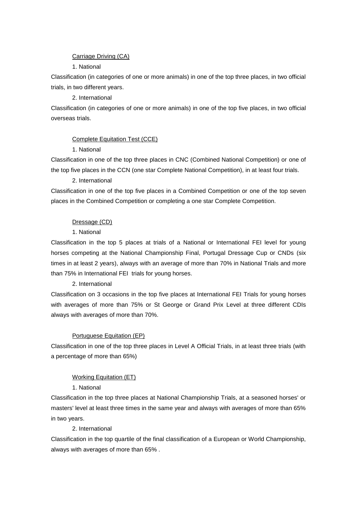## Carriage Driving (CA)

# 1. National

Classification (in categories of one or more animals) in one of the top three places, in two official trials, in two different years.

# 2. International

Classification (in categories of one or more animals) in one of the top five places, in two official overseas trials.

# Complete Equitation Test (CCE)

1. National

Classification in one of the top three places in CNC (Combined National Competition) or one of the top five places in the CCN (one star Complete National Competition), in at least four trials.

# 2. International

Classification in one of the top five places in a Combined Competition or one of the top seven places in the Combined Competition or completing a one star Complete Competition.

# Dressage (CD)

# 1. National

Classification in the top 5 places at trials of a National or International FEI level for young horses competing at the National Championship Final, Portugal Dressage Cup or CNDs (six times in at least 2 years), always with an average of more than 70% in National Trials and more than 75% in International FEI trials for young horses.

## 2. International

Classification on 3 occasions in the top five places at International FEI Trials for young horses with averages of more than 75% or St George or Grand Prix Level at three different CDIs always with averages of more than 70%.

# Portuguese Equitation (EP)

Classification in one of the top three places in Level A Official Trials, in at least three trials (with a percentage of more than 65%)

# Working Equitation (ET)

# 1. National

Classification in the top three places at National Championship Trials, at a seasoned horses' or masters' level at least three times in the same year and always with averages of more than 65% in two years.

# 2. International

Classification in the top quartile of the final classification of a European or World Championship, always with averages of more than 65% .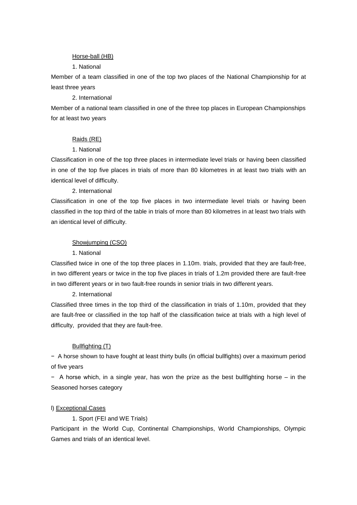#### Horse-ball (HB)

#### 1. National

Member of a team classified in one of the top two places of the National Championship for at least three years

#### 2. International

Member of a national team classified in one of the three top places in European Championships for at least two years

#### Raids (RE)

#### 1. National

Classification in one of the top three places in intermediate level trials or having been classified in one of the top five places in trials of more than 80 kilometres in at least two trials with an identical level of difficulty.

#### 2. International

Classification in one of the top five places in two intermediate level trials or having been classified in the top third of the table in trials of more than 80 kilometres in at least two trials with an identical level of difficulty.

#### Showjumping (CSO)

#### 1. National

Classified twice in one of the top three places in 1.10m. trials, provided that they are fault-free, in two different years or twice in the top five places in trials of 1.2m provided there are fault-free in two different years or in two fault-free rounds in senior trials in two different years.

#### 2. International

Classified three times in the top third of the classification in trials of 1.10m, provided that they are fault-free or classified in the top half of the classification twice at trials with a high level of difficulty, provided that they are fault-free.

#### Bullfighting (T)

− A horse shown to have fought at least thirty bulls (in official bullfights) over a maximum period of five years

− A horse which, in a single year, has won the prize as the best bullfighting horse – in the Seasoned horses category

#### l) Exceptional Cases

#### 1. Sport (FEI and WE Trials)

Participant in the World Cup, Continental Championships, World Championships, Olympic Games and trials of an identical level.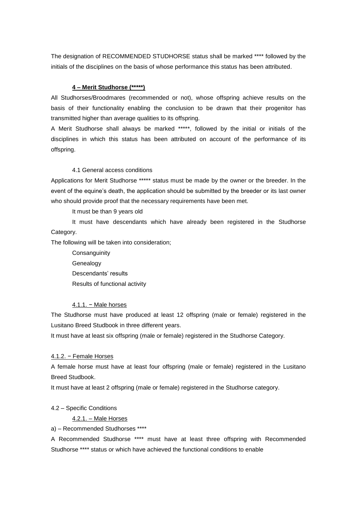The designation of RECOMMENDED STUDHORSE status shall be marked \*\*\*\* followed by the initials of the disciplines on the basis of whose performance this status has been attributed.

#### **4 – Merit Studhorse (\*\*\*\*\*)**

All Studhorses/Broodmares (recommended or not), whose offspring achieve results on the basis of their functionality enabling the conclusion to be drawn that their progenitor has transmitted higher than average qualities to its offspring.

A Merit Studhorse shall always be marked \*\*\*\*\*, followed by the initial or initials of the disciplines in which this status has been attributed on account of the performance of its offspring.

#### 4.1 General access conditions

Applications for Merit Studhorse \*\*\*\*\* status must be made by the owner or the breeder. In the event of the equine's death, the application should be submitted by the breeder or its last owner who should provide proof that the necessary requirements have been met.

It must be than 9 years old

It must have descendants which have already been registered in the Studhorse Category.

The following will be taken into consideration;

**Consanguinity Genealogy** Descendants' results Results of functional activity

#### 4.1.1. − Male horses

The Studhorse must have produced at least 12 offspring (male or female) registered in the Lusitano Breed Studbook in three different years.

It must have at least six offspring (male or female) registered in the Studhorse Category.

#### 4.1.2. − Female Horses

A female horse must have at least four offspring (male or female) registered in the Lusitano Breed Studbook.

It must have at least 2 offspring (male or female) registered in the Studhorse category.

#### 4.2 – Specific Conditions

4.2.1. – Male Horses

a) – Recommended Studhorses \*\*\*\*

A Recommended Studhorse \*\*\*\* must have at least three offspring with Recommended Studhorse \*\*\*\* status or which have achieved the functional conditions to enable